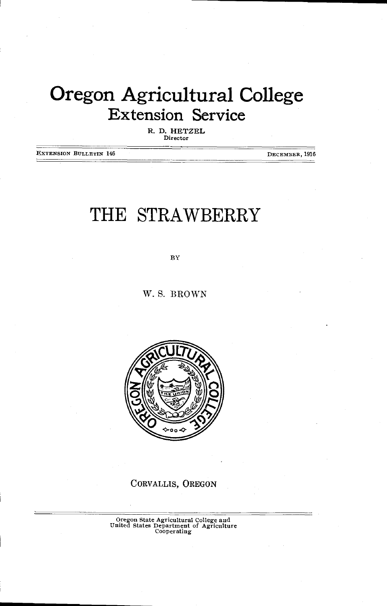## Oregon Agricultural College Extension Service

R. D. HETZEL Director

JETENSION BULLETIN 146 DECEMBER, 1916

## THE STRAWBERRY

BY

W. S. BROWN



CORVALLIS, OREGON

Oregon State Agricultural College and United States Department of Agriculture Cooperating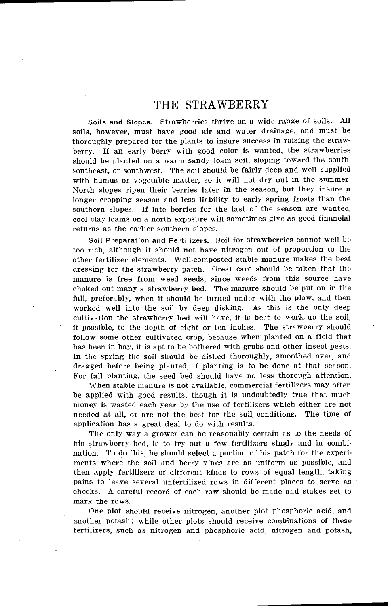## THE STRAWBERRY

Soils and Slopes. Strawberries thrive on a wide range of soils. All soils, however, must have good air and water drainage, and must be thoroughly prepared for the plants to insure success in raising the strawberry. If an early berry with good color is wanted, the strawberries should be planted on a warm sandy loam soil, sloping toward the south, southeast, or southwest. The soil should be fairly deep and well supplied with humus or vegetable matter, so it will not dry out in the summer North slopes ripen their berries later in the season, but they insure a longer cropping season and less liability to early spring frosts than the southern slopes. If late berries for the last of the season are wanted, cool clay barns on a north exposure will sometimes give as good financial returns as the earlier southern slopes.

Soil Preparation and Fertilizers. Soil for strawberries cannot well be too rich, although it should not have nitrogen out of proportion to the other fertilizer elements. Well-composted stable manure makes the best dressing for the strawberry patch. Great care should be taken that the manure is free from weed seeds, since weeds from this source have choked out many a strawberry bed. The manure should be put on in the fall, preferably, when it should be turned under with the plow, and then worked well into the soil by deep disking. As this is the only deep cultivation the strawberry bed will have, it is best to work up the soil, if possible, to the depth of eight or ten inches. The strawberry should follow some other cultivated crop, because when planted on a field that has been in hay, it is apt to be bothered with grubs and other insect pests. In the spring the soil should be disked thoroughly, smoothed over, and dragged before being planted, if planting is to be done at that season. For fall planting, the seed bed should have no less thorough attention.

When stable manure is not available, commercial fertilizers may often be applied with good results, though it is undoubtedly true that much money is wasted each year by the use of fertilizers which either are not needed at all, or are not the best for the soil conditions. The time of application has a great deal to do with results.

The only way a grower can be reasonably certain as to the needs of his strawberry bed, is to try out a few fertilizers singly and in combination. To do this, he should select a portion of his patch for the experiments where the soil and berry vines are as uniform as possible, and then apply fertilizers of different kinds to rows of equal length, taking pains to leave several unfertilized rows in different places to serve as checks. A careful record of each row should be made and stakes set to mark the rows.

One plot should receive nitrogen, another plot phosphoric acid, and another potash; while other plots should receive combinations of these fertilizers, such as nitrogen and phosphoric acid, nitrogen and potash,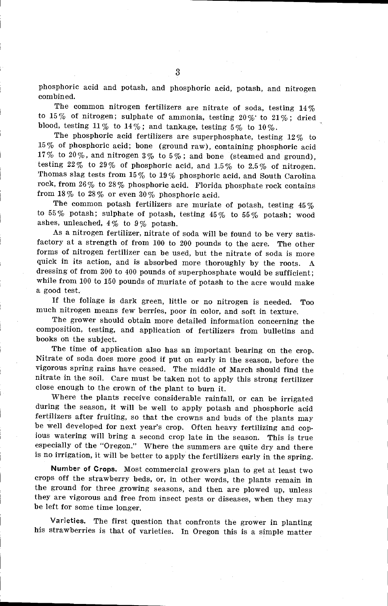phosphoric acid and potash, and phosphoric acid, potash, and nitrogen combined.

The common nitrogen fertilizers are nitrate of soda, testing 14% to 15% of nitrogen; sulphate of ammonia, testing  $20\%$  to  $21\%$ ; dried blood, testing 11% to 14%; and tankage, testing 5% to 10%.

The phosphoric acid fertilizers are superphosphate, testing 12% to 15% of phosphoric acid; bone (ground raw), containing phosphoric acid 17% to 20%, and nitrogen 3% to 5%; and bone (steamed and ground), testing 22% to 29% of phosphoric acid, and 1.5% to 2.5% of nitrogen. Thomas slag tests from  $15\,\%$  to  $19\,\%$  phosphoric acid, and South Carolina rock, from  $26\%$  to  $28\%$  phosphoric acid. Florida phosphate rock contains from  $18\%$  to  $28\%$  or even  $30\%$  phosphoric acid.

The common potash fertilizers are muriate of potash, testing 45% to 55% potash; sulphate of potash, testing  $45\%$  to 55% potash; wood ashes, unleached, 4% to 9% potash.

As a nitrogen fertilizer, nitrate of soda will be found to be very satisfactory at a strength of from 100 to 200 pounds to the acre. The other forms of nitrogen fertilizer can be used, but the nitrate of soda is more quick in its action, and is absorbed more thoroughly by the roots. A dressing of from 300 to 400 pounds of superphosphate would be sufficient; while from 100 to 150 pounds of muriate of potash to the acre would make a good test.

If the foliage is dark green, little or no nitrogen is needed. Too much nitrogen means few berries, poor in color, and soft in texture.

The grower should obtain more detailed information concerning the composition, testing, and application of fertilizers from bulletins and books on the subject.

The time of application also has an important bearing on the crop. Nitrate of soda does more good if put on early in the season, before the nitrate in the soil. Care must be taken not to apply this strong fertilizer close enough to the crown of the plant to burn it.

Where the plants receive considerable rainfall, or can be irrigated during the season, it will be well to apply potash and phosphoric acid fertilizers after fruiting, so that the crowns and buds of the plants may be well developed for next year's crop. Often heavy fertilizing and copious watering will bring a second crop late in the season. This is true especially of the "Oregon." Where the summers are quite dry and there is no irrigation, it will be better to apply the fertilizers early in the spring.

Number of Crops. Most commercial growers plan to get at least two crops off the strawberry beds, or, in other words, the plants remain in the ground for three growing seasons, and then are plowed up, unless they are vigorous and free from insect pests or diseases, when they may be left for some time longer.

Varieties. The first question that confronts the grower in planting his strawberries is that of varieties. In Oregon this is a simple matter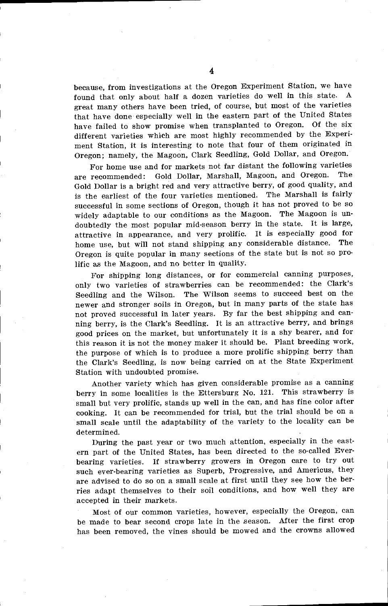because, from investigations at the Oregon Experiment Station, we have found that only about half a dozen varieties do well in this state. A great many others have been tried, of course, but most of the varieties that have done especially well in the eastern part of the United States have failed to show promise when transplanted to Oregon. Of the six different varieties which are most highly recommended by the Experiment Station, it is interesting to note that four of them originated in Oregon; namely, the Magoon, Clark Seedling, Gold Dollar, and Oregon.

For home use and for markets not far distant the following varieties are recommended: Gold Dollar, Marshall, Magoon, and Oregon. The Gold Dollar is a bright red and very attractive berry, of good quality, and is the earliest of the four varieties mentioned. The Marshall is fairly successful in some sections of Oregon, though it has not proved to be so widely adaptable to our conditions as the Magoon. The Magoon is undoubtedly the most popular mid-season berry in the state. It is large, attractive in appearance, and very prolific. It is especially good for home use, but will not stand shipping any considerable distance. The Oregon is quite popular in many sections of the state but is not so prolific as the Magoon, and no better in quality.

For shipping long distances, or for commercial canning purposes, only two varieties of strawberries can be recommended: the Clark's Seedling and the Wilson. The Wilson seems to succeed best on the newer and stronger soils in Oregon, but in many parts of the state has not proved successful in later years. By far the best shipping and canning berry, is the Clark's Seedling. It is an attractive berry, and brings good prices on the market, but unfortunately it is a shy bearer, and for this reason it is not the money maker it should be. Plant breeding work, the purpose of which is to produce a more prolific shipping berry than the Clark's Seedling, is now being carried on at the State Experiment Station with undoubted promise.

Another variety which has given considerable promise as a canning berry in some localities is the Ettersburg No. 121. This strawberry is small but very prolific, stands up well in the can, and has fine color after cooking. It can be recommended for trial, but the trial should be on a small scale until the adaptability of the variety to the locality can be determined.

During the past year or two much attention, especially in the eastern part of the United States, has been directed to the so-called Everbearing varieties. If strawberry growers in Oregon care to try out such ever-bearing varieties as Superb, Progressive, and Americus, they are advised to do so on a small scale at first until they see how the berries adapt themselves to their soil conditions, and how well they are accepted in their markets.

Most of our common varieties, however, especially the Oregon, can be made to bear second crops late in the season. After the first crop has been removed, the vines should be mowed and the crowns allowed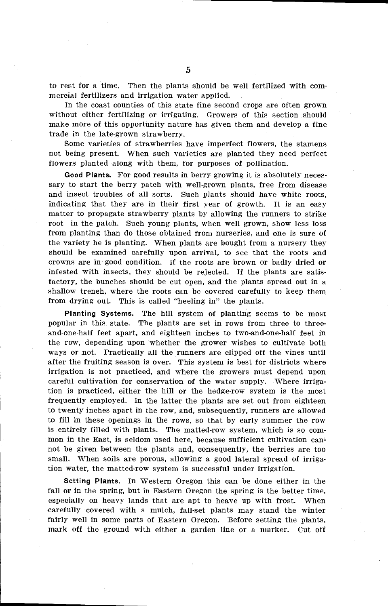to rest for a time. Then the plants should be well fertilized with commercial fertilizers and irrigation water applied.

In the coast counties of this state fine second crops are often grown without either fertilizing or irrigating. Growers of this section should make more of this opportunity nature has given them and develop a fine trade in the late-grown strawberry.

Some varieties of strawberries have imperfect flowers, the stamens not being present. When such varieties are planted they need perfect flowers planted along with them, for purposes of pollination.

Good Plants. For good results in berry growing it is absolutely necessary to start the berry patch with well-grown plants, free from disease and insect troubles of all sorts. Such plants should have white roots, indicating that they are in their first year of growth. It is an easy matter to propagate strawberry plants by allowing the runners to strike root in the patch. Such young plants, when well grown, show less loss from planting than do those obtained from nurseries, and one is sure of the variety he is planting. When plants are bought from a nursery they should be examined carefully upon arrival, to see that the roots and crowns are in good condition. If the roots are brown or badly dried or infested with insects, they should be rejected. If the plants are satisfactory, the bunches should be cut open, and the plants spread out in a shallow trench, where the roots can be covered carefully to keep them from drying out. This is called "heeling in" the plants.

Planting Systems. The hill system of planting seems to be most popular in this state. The plants are set in rows from three to threeand-one-half feet apart, and eighteen inches to two-and-one-half feet in the row, depending upon whether the grower wishes to cultivate both ways or not. Practically all the runners are clipped off the vines until after the fruiting season is over. This system is best for districts where irrigation is not practiced, and where the growers must depend upon careful cultivation for conservation of the water supply. Where irrigation is practiced, either the hill or the hedge-row system is the most frequently employed. In the latter the plants are set out from eighteen to twenty inches apart in the row, and, subsequently, runners are allowed to fill in these openings in the rows, so that by early summer the row is entirely filled with plants. The matted-row system, which is so common in the East, is seldom used here, because sufficient cultivation cannot be given between the plants and, consequently, the berries are too small. When soils are porous, allowing a good lateral spread of irrigation water, the matted-row system is successful under irrigation.

Setting Plants. In Western Oregon this can be done either in the fall or in the spring, but in Eastern Oregon the spring is the better time, especially on heavy lands that are apt to heave up with frost. When carefully covered with a mulch, fall-set plants may stand the winter fairly well in some parts of Eastern Oregon. Before setting the plants, mark off the ground with either a garden line or a marker. Cut off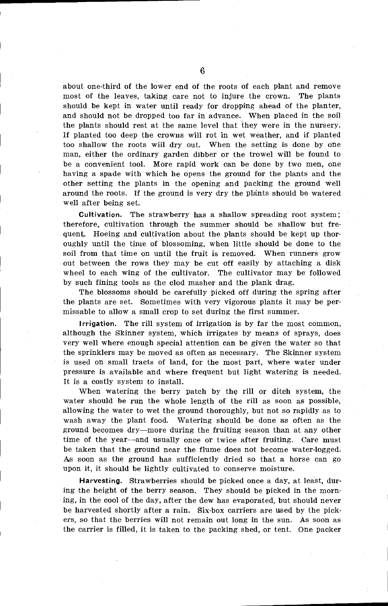about one-third of the lower end of the roots of each plant and remove most of the leaves, taking care not to injure the crown. The plants should be kept in water until ready for dropping ahead of the planter, and should not be dropped too far in advance. When placed in the soil the plants should rest at the same level that they were in the nursery. If planted too deep the crowns will rot in wet weather, and if planted too shallow the roots will dry out. When the setting is done by one man, either the ordinary garden dibber or the trowel will be found to be a convenient tool. More rapid work can be done by two men, one having a spade with which he opens the ground for the plants and the other setting the plants in the opening and packing the ground well around the roots. If the ground is very dry the plants should be watered well after being set.

Cultivation. The strawberry has a shallow spreading root system; therefore, cultivation through the summer should be shallow but frequent. Hoeing and cultivation about the plants should be kept up thoroughly until the time of blossoming, when little should be done to the soil from that time on until the fruit is removed. When runners grow out between the rows they may be cut off easily by attaching a disk wheel to each wing of the cultivator. The cultivator may be followed by such fining tools as the clod masher and the plank drag.

The blossoms should be carefully picked off during the spring after the plants are set. Sometimes with very vigorous plants it may be permissable to allow a small crop to set during the first summer

Irrigation. The rill system of irrigation is by far the most common, although the Skinner system, which irrigates by means of sprays, does very well where enough special attention can be given the water so that the sprinklers may be moved as often as necessary. The Skinner system is used on small tracts of land, for the most part, where water under pressure is available and where frequent but light watering is needed. It is a costly system to install.

When watering the berry patch by the rill or ditch system, the water should be run the whole length of the rill as soon as possible, allowing the water to wet the ground thoroughly, but not so rapidly as to wash away the plant food. Watering should be done as often as the ground becomes dry—more during the fruiting season than at any other time of the year--and usually once or twice after fruiting. Care must be taken that the ground near the flume does not become water-logged. As soon as the ground has sufficiently dried so that a horse can go upon it, it should be lightly cultivated to conserve moisture.

Harvesting. Strawberries should be picked once a day, at least, during the height of the berry season. They should be picked in the morning, in the cool of the day, after the dew has evaporated, but should never be harvested shortly after a rain. Six-box carriers are used by the pickers, so that the berries will not remain out long in the sun. As soon as the carrier is filled, it is taken to the packing shed, or tent. One packer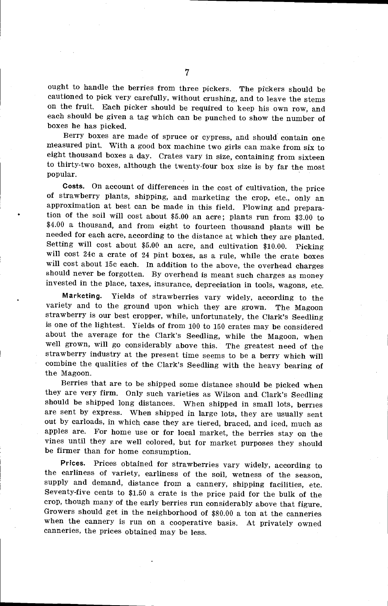ought to handle the berries from three pickers. The pickers should be cautioned to pick very carefully, without crushing, and to leave the stems on the fruit. Each picker should be required to keep his own row, and each should be given a tag which can be punched to show the number of boxes he has picked.

Berry boxes are made of spruce or cypress, and should contain one measured pint. With a good box machine two girls can make from six to eight thousand boxes a day. Crates vary in size, containing from sixteen to thirty-two boxes, although the twenty-four box size is by far the most popular.

Costs. On account of differences in the cost of cultivation, the price of strawberry plants, shipping, and marketing the crop, etc., only an approximation at best can be made in this field. Plowing and preparation of the soil will cost about \$5.00 an acre; plants run from \$3.00 to \$4.00 a thousand, and from eight to fourteen thousand plants will be needed for each acre, according to the distance at which they are planted. Setting will cost about \$5.00 an acre, and cultivation \$10.00. Picking will cost 24c a crate of 24 pint boxes, as a rule, while the crate boxes will cost about 15c each. In addition to the above, the overhead charges should never be forgotten. By overhead is meant such charges as money invested in the place, taxes, insurance, depreciation in tools, wagons, etc.

Marketing. Yields of strawberries vary widely, according to the variety and to the ground upon which they are grown. The Magoon strawberry is our best cropper, while, unfortunately, the Clark's Seedling is one of the lightest. Yields of from 100 to 150 crates may be considered well grown, will go considerably above this. The greatest need of the strawberry industry at the present time seems to be a berry which will combine the qualities of the Clark's Seedling with the heavy bearing of the Magoon.

Berries that are to be shipped some distance should be picked when they are very firm. Only such varieties as Wilson and Clark's Seedling should be shipped long distances. When shipped in small lots, berries are sent by express. When shipped in large lots, they are usually sent out by carloads, in which case they are tiered, braced, and iced, much as apples are. For home use or for local market, the berries stay on the vines until they are well colored, but for market purposes they should be firmer than for home consumption.

Prices. Prices obtained for strawberries vary widely, according to the earliness of variety, earliness of the soil, wetness of the season, supply and demand, distance from a cannery, shipping facilities, etc. Seventy-five cents to \$1.50 a crate is the price paid for the bulk of the crop, though many of the early berries run considerably above that figure. Growers should get in the neighborhood of 880.00 a ton at the canneries when the cannery is run on a cooperative basis. At privately owned canneries, the prices obtained may be less.